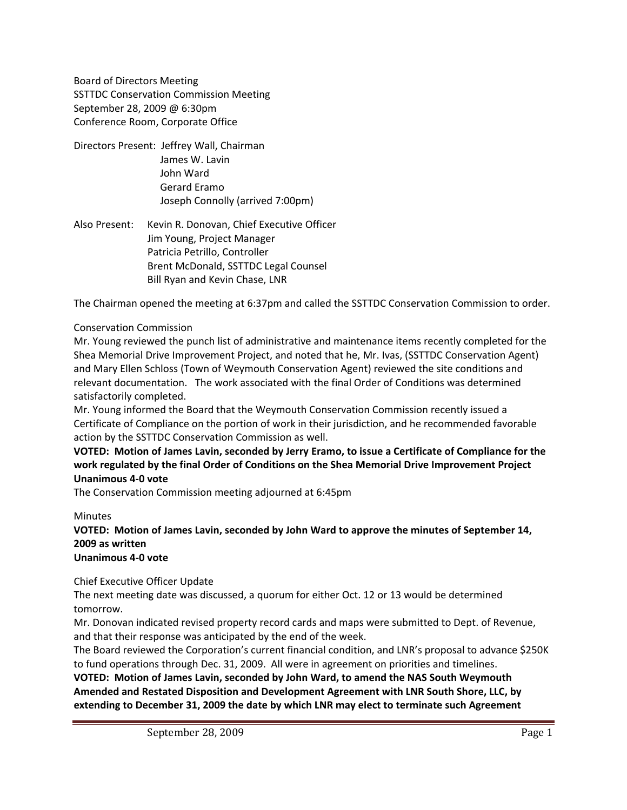Board of Directors Meeting SSTTDC Conservation Commission Meeting September 28, 2009 @ 6:30pm Conference Room, Corporate Office

- Directors Present: Jeffrey Wall, Chairman James W. Lavin John Ward Gerard Eramo Joseph Connolly (arrived 7:00pm)
- Also Present: Kevin R. Donovan, Chief Executive Officer Jim Young, Project Manager Patricia Petrillo, Controller Brent McDonald, SSTTDC Legal Counsel Bill Ryan and Kevin Chase, LNR

The Chairman opened the meeting at 6:37pm and called the SSTTDC Conservation Commission to order.

## Conservation Commission

Mr. Young reviewed the punch list of administrative and maintenance items recently completed for the Shea Memorial Drive Improvement Project, and noted that he, Mr. Ivas, (SSTTDC Conservation Agent) and Mary Ellen Schloss (Town of Weymouth Conservation Agent) reviewed the site conditions and relevant documentation. The work associated with the final Order of Conditions was determined satisfactorily completed.

Mr. Young informed the Board that the Weymouth Conservation Commission recently issued a Certificate of Compliance on the portion of work in their jurisdiction, and he recommended favorable action by the SSTTDC Conservation Commission as well.

VOTED: Motion of James Lavin, seconded by Jerry Eramo, to issue a Certificate of Compliance for the **work regulated by the final Order of Conditions on the Shea Memorial Drive Improvement Project Unanimous 4‐0 vote**

The Conservation Commission meeting adjourned at 6:45pm

## **Minutes**

**VOTED: Motion of James Lavin, seconded by John Ward to approve the minutes of September 14, 2009 as written Unanimous 4‐0 vote**

Chief Executive Officer Update

The next meeting date was discussed, a quorum for either Oct. 12 or 13 would be determined tomorrow.

Mr. Donovan indicated revised property record cards and maps were submitted to Dept. of Revenue, and that their response was anticipated by the end of the week.

The Board reviewed the Corporation's current financial condition, and LNR's proposal to advance \$250K to fund operations through Dec. 31, 2009. All were in agreement on priorities and timelines.

**VOTED: Motion of James Lavin, seconded by John Ward, to amend the NAS South Weymouth Amended and Restated Disposition and Development Agreement with LNR South Shore, LLC, by extending to December 31, 2009 the date by which LNR may elect to terminate such Agreement**